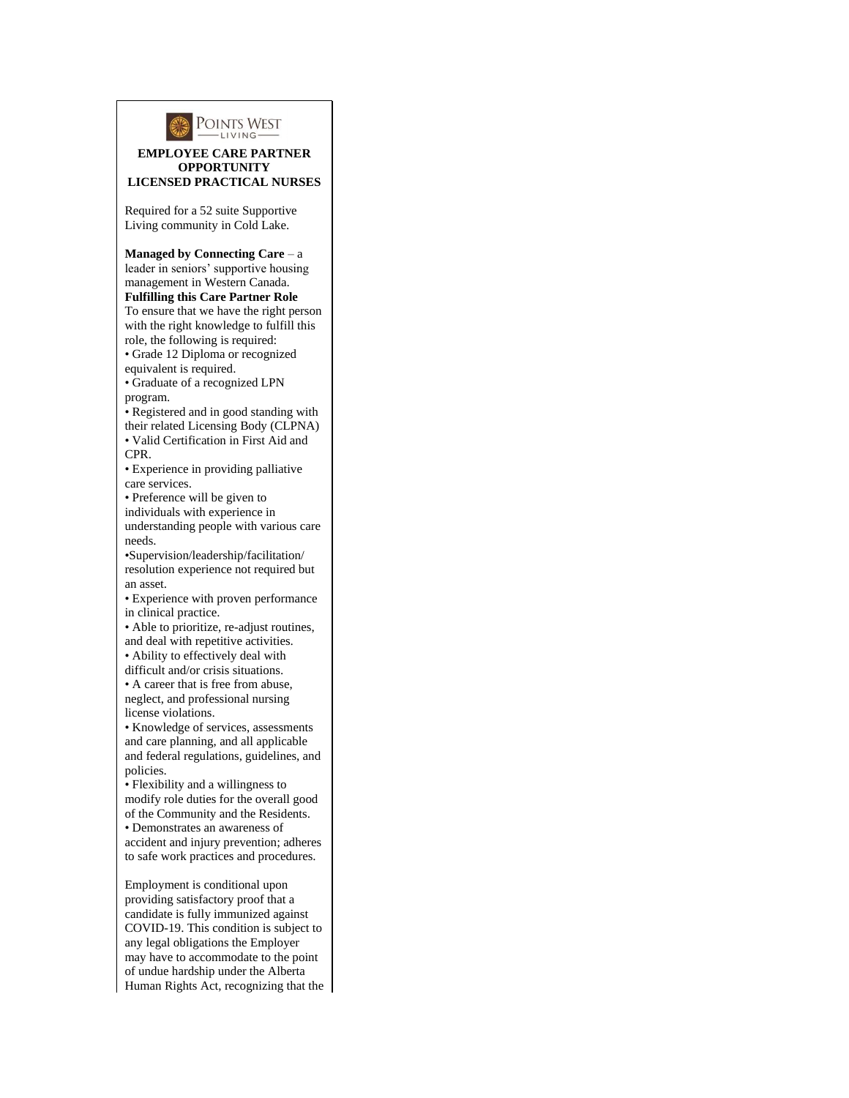

## **EMPLOYEE CARE PARTNER OPPORTUNITY LICENSED PRACTICAL NURSES**

Required for a 52 suite Supportive Living community in Cold Lake.

**Managed by Connecting Care** – a leader in seniors' supportive housing management in Western Canada. **Fulfilling this Care Partner Role** To ensure that we have the right person

with the right knowledge to fulfill this role, the following is required: • Grade 12 Diploma or recognized

equivalent is required.

• Graduate of a recognized LPN program.

• Registered and in good standing with their related Licensing Body (CLPNA)

• Valid Certification in First Aid and CPR.

• Experience in providing palliative care services.

• Preference will be given to

individuals with experience in

understanding people with various care needs.

•Supervision/leadership/facilitation/ resolution experience not required but an asset.

• Experience with proven performance in clinical practice.

• Able to prioritize, re-adjust routines,

and deal with repetitive activities. • Ability to effectively deal with

difficult and/or crisis situations.

• A career that is free from abuse, neglect, and professional nursing license violations.

• Knowledge of services, assessments and care planning, and all applicable and federal regulations, guidelines, and policies.

• Flexibility and a willingness to modify role duties for the overall good of the Community and the Residents.

• Demonstrates an awareness of accident and injury prevention; adheres to safe work practices and procedures.

Employment is conditional upon providing satisfactory proof that a candidate is fully immunized against COVID-19. This condition is subject to any legal obligations the Employer may have to accommodate to the point of undue hardship under the Alberta Human Rights Act, recognizing that the